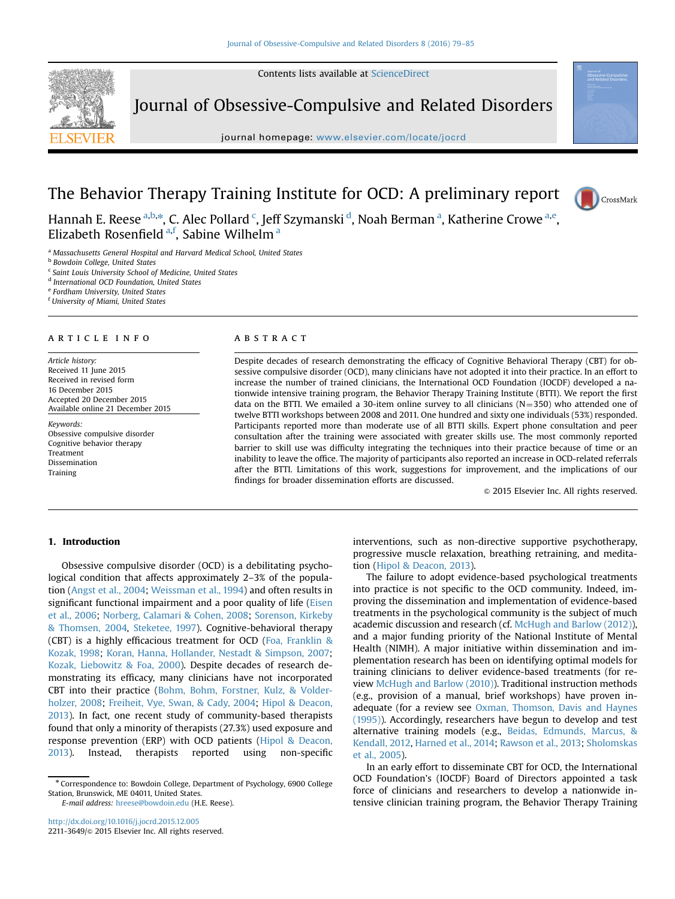Contents lists available at [ScienceDirect](www.sciencedirect.com/science/journal/22113649)



Journal of Obsessive-Compulsive and Related Disorders

journal homepage: <www.elsevier.com/locate/jocrd>



## The Behavior Therapy Training Institute for OCD: A preliminary report



Hannah E. Reese <sup>a,b,</sup>\*, C. Alec Pollard <sup>c</sup>, Jeff Szymanski <sup>d</sup>, Noah Berman <sup>a</sup>, Katherine Crowe <sup>a,e</sup>, Elizabeth Rosenfield <sup>a,f</sup>, Sabine Wilhelm <sup>a</sup>

<sup>a</sup> Massachusetts General Hospital and Harvard Medical School, United States

**b** Bowdoin College, United States

<sup>c</sup> Saint Louis University School of Medicine, United States

<sup>d</sup> International OCD Foundation, United States

<sup>e</sup> Fordham University, United States

f University of Miami, United States

#### article info

Article history: Received 11 June 2015 Received in revised form 16 December 2015 Accepted 20 December 2015 Available online 21 December 2015

Keywords: Obsessive compulsive disorder Cognitive behavior therapy Treatment Dissemination Training

## ABSTRACT

Despite decades of research demonstrating the efficacy of Cognitive Behavioral Therapy (CBT) for obsessive compulsive disorder (OCD), many clinicians have not adopted it into their practice. In an effort to increase the number of trained clinicians, the International OCD Foundation (IOCDF) developed a nationwide intensive training program, the Behavior Therapy Training Institute (BTTI). We report the first data on the BTTI. We emailed a 30-item online survey to all clinicians  $(N=350)$  who attended one of twelve BTTI workshops between 2008 and 2011. One hundred and sixty one individuals (53%) responded. Participants reported more than moderate use of all BTTI skills. Expert phone consultation and peer consultation after the training were associated with greater skills use. The most commonly reported barrier to skill use was difficulty integrating the techniques into their practice because of time or an inability to leave the office. The majority of participants also reported an increase in OCD-related referrals after the BTTI. Limitations of this work, suggestions for improvement, and the implications of our findings for broader dissemination efforts are discussed.

 $©$  2015 Elsevier Inc. All rights reserved.

### 1. Introduction

Obsessive compulsive disorder (OCD) is a debilitating psychological condition that affects approximately 2–3% of the population (Angst et al., 2004; Weissman et al., 1994) and often results in significant functional impairment and a poor quality of life (Eisen et al., 2006; Norberg, Calamari & Cohen, 2008; Sorenson, Kirkeby & Thomsen, 2004, Steketee, 1997). Cognitive-behavioral therapy (CBT) is a highly efficacious treatment for OCD (Foa, Franklin & Kozak, 1998; Koran, Hanna, Hollander, Nestadt & Simpson, 2007; Kozak, Liebowitz & Foa, 2000). Despite decades of research demonstrating its efficacy, many clinicians have not incorporated CBT into their practice (Bohm, Bohm, Forstner, Kulz, & Volderholzer, 2008; Freiheit, Vye, Swan, & Cady, 2004; Hipol & Deacon, 2013). In fact, one recent study of community-based therapists found that only a minority of therapists (27.3%) used exposure and response prevention (ERP) with OCD patients (Hipol & Deacon, 2013). Instead, therapists reported using non-specific

E-mail address: [hreese@bowdoin.edu](mailto:hreese@bowdoin.edu) (H.E. Reese).

interventions, such as non-directive supportive psychotherapy, progressive muscle relaxation, breathing retraining, and meditation (Hipol & Deacon, 2013).

The failure to adopt evidence-based psychological treatments into practice is not specific to the OCD community. Indeed, improving the dissemination and implementation of evidence-based treatments in the psychological community is the subject of much academic discussion and research (cf. McHugh and Barlow (2012)), and a major funding priority of the National Institute of Mental Health (NIMH). A major initiative within dissemination and implementation research has been on identifying optimal models for training clinicians to deliver evidence-based treatments (for review McHugh and Barlow (2010)). Traditional instruction methods (e.g., provision of a manual, brief workshops) have proven inadequate (for a review see Oxman, Thomson, Davis and Haynes (1995)). Accordingly, researchers have begun to develop and test alternative training models (e.g., Beidas, Edmunds, Marcus, & Kendall, 2012, Harned et al., 2014; Rawson et al., 2013; Sholomskas et al., 2005).

In an early effort to disseminate CBT for OCD, the International OCD Foundation's (IOCDF) Board of Directors appointed a task force of clinicians and researchers to develop a nationwide intensive clinician training program, the Behavior Therapy Training

<sup>n</sup> Correspondence to: Bowdoin College, Department of Psychology, 6900 College Station, Brunswick, ME 04011, United States.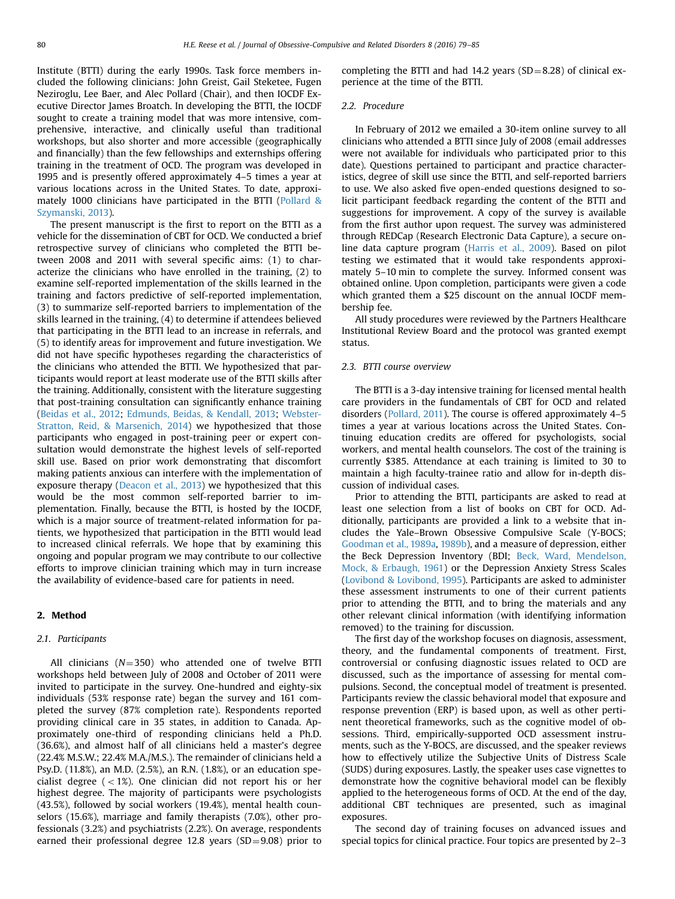Institute (BTTI) during the early 1990s. Task force members included the following clinicians: John Greist, Gail Steketee, Fugen Neziroglu, Lee Baer, and Alec Pollard (Chair), and then IOCDF Executive Director James Broatch. In developing the BTTI, the IOCDF sought to create a training model that was more intensive, comprehensive, interactive, and clinically useful than traditional workshops, but also shorter and more accessible (geographically and financially) than the few fellowships and externships offering training in the treatment of OCD. The program was developed in 1995 and is presently offered approximately 4–5 times a year at various locations across in the United States. To date, approximately 1000 clinicians have participated in the BTTI (Pollard & Szymanski, 2013).

The present manuscript is the first to report on the BTTI as a vehicle for the dissemination of CBT for OCD. We conducted a brief retrospective survey of clinicians who completed the BTTI between 2008 and 2011 with several specific aims: (1) to characterize the clinicians who have enrolled in the training, (2) to examine self-reported implementation of the skills learned in the training and factors predictive of self-reported implementation, (3) to summarize self-reported barriers to implementation of the skills learned in the training, (4) to determine if attendees believed that participating in the BTTI lead to an increase in referrals, and (5) to identify areas for improvement and future investigation. We did not have specific hypotheses regarding the characteristics of the clinicians who attended the BTTI. We hypothesized that participants would report at least moderate use of the BTTI skills after the training. Additionally, consistent with the literature suggesting that post-training consultation can significantly enhance training (Beidas et al., 2012; Edmunds, Beidas, & Kendall, 2013; Webster-Stratton, Reid, & Marsenich, 2014) we hypothesized that those participants who engaged in post-training peer or expert consultation would demonstrate the highest levels of self-reported skill use. Based on prior work demonstrating that discomfort making patients anxious can interfere with the implementation of exposure therapy (Deacon et al., 2013) we hypothesized that this would be the most common self-reported barrier to implementation. Finally, because the BTTI, is hosted by the IOCDF, which is a major source of treatment-related information for patients, we hypothesized that participation in the BTTI would lead to increased clinical referrals. We hope that by examining this ongoing and popular program we may contribute to our collective efforts to improve clinician training which may in turn increase the availability of evidence-based care for patients in need.

#### 2. Method

#### 2.1. Participants

All clinicians  $(N=350)$  who attended one of twelve BTTI workshops held between July of 2008 and October of 2011 were invited to participate in the survey. One-hundred and eighty-six individuals (53% response rate) began the survey and 161 completed the survey (87% completion rate). Respondents reported providing clinical care in 35 states, in addition to Canada. Approximately one-third of responding clinicians held a Ph.D. (36.6%), and almost half of all clinicians held a master's degree (22.4% M.S.W.; 22.4% M.A./M.S.). The remainder of clinicians held a Psy.D. (11.8%), an M.D. (2.5%), an R.N. (1.8%), or an education specialist degree  $(< 1\%)$ . One clinician did not report his or her highest degree. The majority of participants were psychologists (43.5%), followed by social workers (19.4%), mental health counselors (15.6%), marriage and family therapists (7.0%), other professionals (3.2%) and psychiatrists (2.2%). On average, respondents earned their professional degree 12.8 years ( $SD = 9.08$ ) prior to completing the BTTI and had 14.2 years  $(SD=8.28)$  of clinical experience at the time of the BTTI.

#### 2.2. Procedure

In February of 2012 we emailed a 30-item online survey to all clinicians who attended a BTTI since July of 2008 (email addresses were not available for individuals who participated prior to this date). Questions pertained to participant and practice characteristics, degree of skill use since the BTTI, and self-reported barriers to use. We also asked five open-ended questions designed to solicit participant feedback regarding the content of the BTTI and suggestions for improvement. A copy of the survey is available from the first author upon request. The survey was administered through REDCap (Research Electronic Data Capture), a secure online data capture program (Harris et al., 2009). Based on pilot testing we estimated that it would take respondents approximately 5–10 min to complete the survey. Informed consent was obtained online. Upon completion, participants were given a code which granted them a \$25 discount on the annual IOCDF membership fee.

All study procedures were reviewed by the Partners Healthcare Institutional Review Board and the protocol was granted exempt status.

#### 2.3. BTTI course overview

The BTTI is a 3-day intensive training for licensed mental health care providers in the fundamentals of CBT for OCD and related disorders (Pollard, 2011). The course is offered approximately 4–5 times a year at various locations across the United States. Continuing education credits are offered for psychologists, social workers, and mental health counselors. The cost of the training is currently \$385. Attendance at each training is limited to 30 to maintain a high faculty-trainee ratio and allow for in-depth discussion of individual cases.

Prior to attending the BTTI, participants are asked to read at least one selection from a list of books on CBT for OCD. Additionally, participants are provided a link to a website that includes the Yale–Brown Obsessive Compulsive Scale (Y-BOCS; Goodman et al., 1989a, 1989b), and a measure of depression, either the Beck Depression Inventory (BDI; Beck, Ward, Mendelson, Mock, & Erbaugh, 1961) or the Depression Anxiety Stress Scales (Lovibond & Lovibond, 1995). Participants are asked to administer these assessment instruments to one of their current patients prior to attending the BTTI, and to bring the materials and any other relevant clinical information (with identifying information removed) to the training for discussion.

The first day of the workshop focuses on diagnosis, assessment, theory, and the fundamental components of treatment. First, controversial or confusing diagnostic issues related to OCD are discussed, such as the importance of assessing for mental compulsions. Second, the conceptual model of treatment is presented. Participants review the classic behavioral model that exposure and response prevention (ERP) is based upon, as well as other pertinent theoretical frameworks, such as the cognitive model of obsessions. Third, empirically-supported OCD assessment instruments, such as the Y-BOCS, are discussed, and the speaker reviews how to effectively utilize the Subjective Units of Distress Scale (SUDS) during exposures. Lastly, the speaker uses case vignettes to demonstrate how the cognitive behavioral model can be flexibly applied to the heterogeneous forms of OCD. At the end of the day, additional CBT techniques are presented, such as imaginal exposures.

The second day of training focuses on advanced issues and special topics for clinical practice. Four topics are presented by 2–3